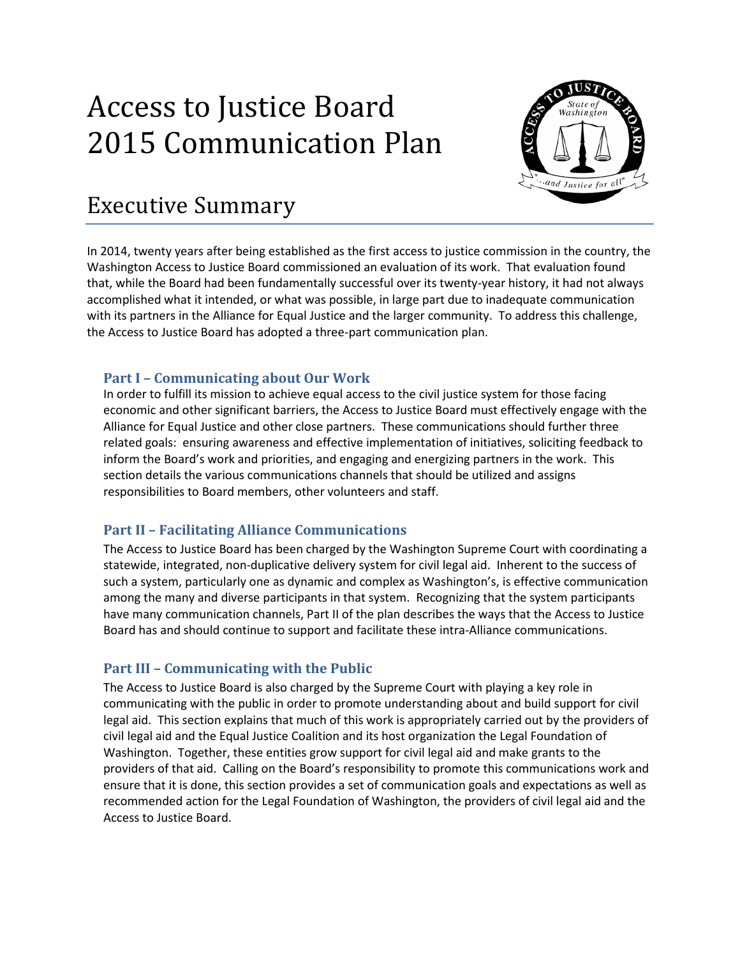# Access to Justice Board 2015 Communication Plan



## Executive Summary

In 2014, twenty years after being established as the first access to justice commission in the country, the Washington Access to Justice Board commissioned an evaluation of its work. That evaluation found that, while the Board had been fundamentally successful over its twenty-year history, it had not always accomplished what it intended, or what was possible, in large part due to inadequate communication with its partners in the Alliance for Equal Justice and the larger community. To address this challenge, the Access to Justice Board has adopted a three-part communication plan.

#### **Part I – Communicating about Our Work**

In order to fulfill its mission to achieve equal access to the civil justice system for those facing economic and other significant barriers, the Access to Justice Board must effectively engage with the Alliance for Equal Justice and other close partners. These communications should further three related goals: ensuring awareness and effective implementation of initiatives, soliciting feedback to inform the Board's work and priorities, and engaging and energizing partners in the work. This section details the various communications channels that should be utilized and assigns responsibilities to Board members, other volunteers and staff.

#### **Part II – Facilitating Alliance Communications**

The Access to Justice Board has been charged by the Washington Supreme Court with coordinating a statewide, integrated, non-duplicative delivery system for civil legal aid. Inherent to the success of such a system, particularly one as dynamic and complex as Washington's, is effective communication among the many and diverse participants in that system. Recognizing that the system participants have many communication channels, Part II of the plan describes the ways that the Access to Justice Board has and should continue to support and facilitate these intra-Alliance communications.

#### **Part III – Communicating with the Public**

The Access to Justice Board is also charged by the Supreme Court with playing a key role in communicating with the public in order to promote understanding about and build support for civil legal aid. This section explains that much of this work is appropriately carried out by the providers of civil legal aid and the Equal Justice Coalition and its host organization the Legal Foundation of Washington. Together, these entities grow support for civil legal aid and make grants to the providers of that aid. Calling on the Board's responsibility to promote this communications work and ensure that it is done, this section provides a set of communication goals and expectations as well as recommended action for the Legal Foundation of Washington, the providers of civil legal aid and the Access to Justice Board.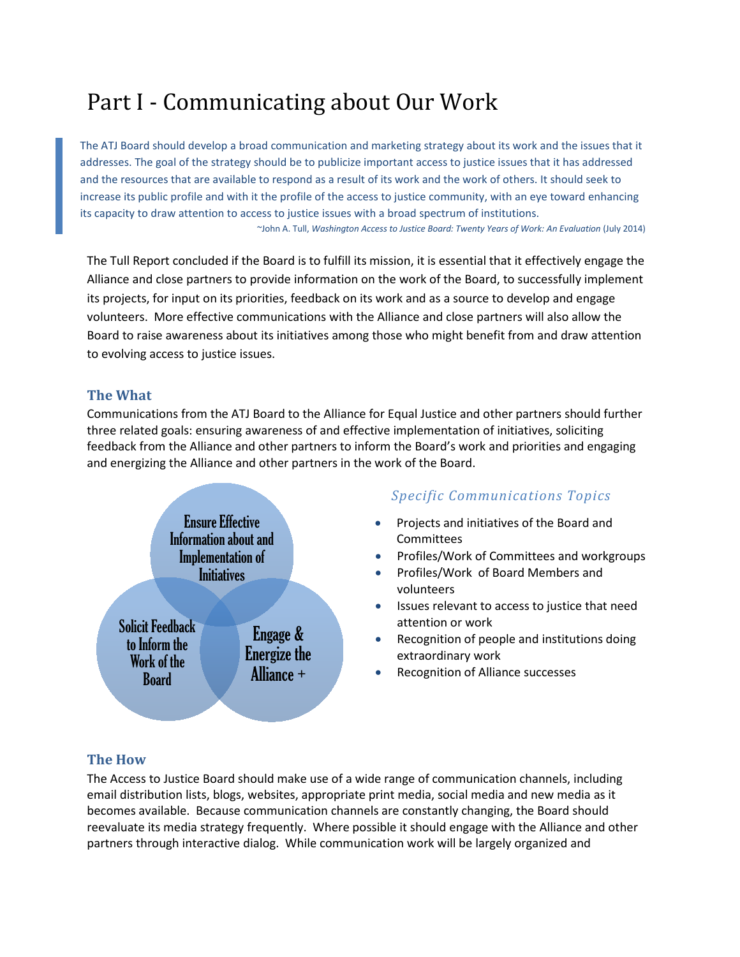# Part I - Communicating about Our Work

The ATJ Board should develop a broad communication and marketing strategy about its work and the issues that it addresses. The goal of the strategy should be to publicize important access to justice issues that it has addressed and the resources that are available to respond as a result of its work and the work of others. It should seek to increase its public profile and with it the profile of the access to justice community, with an eye toward enhancing its capacity to draw attention to access to justice issues with a broad spectrum of institutions. ~John A. Tull, *Washington Access to Justice Board: Twenty Years of Work: An Evaluation* (July 2014)

The Tull Report concluded if the Board is to fulfill its mission, it is essential that it effectively engage the Alliance and close partners to provide information on the work of the Board, to successfully implement its projects, for input on its priorities, feedback on its work and as a source to develop and engage volunteers. More effective communications with the Alliance and close partners will also allow the Board to raise awareness about its initiatives among those who might benefit from and draw attention to evolving access to justice issues.

#### **The What**

Communications from the ATJ Board to the Alliance for Equal Justice and other partners should further three related goals: ensuring awareness of and effective implementation of initiatives, soliciting feedback from the Alliance and other partners to inform the Board's work and priorities and engaging and energizing the Alliance and other partners in the work of the Board.



#### *Specific Communications Topics*

- Projects and initiatives of the Board and Committees
- Profiles/Work of Committees and workgroups
- Profiles/Work of Board Members and volunteers
- Issues relevant to access to justice that need attention or work
- Recognition of people and institutions doing extraordinary work
- Recognition of Alliance successes

#### **The How**

The Access to Justice Board should make use of a wide range of communication channels, including email distribution lists, blogs, websites, appropriate print media, social media and new media as it becomes available. Because communication channels are constantly changing, the Board should reevaluate its media strategy frequently. Where possible it should engage with the Alliance and other partners through interactive dialog. While communication work will be largely organized and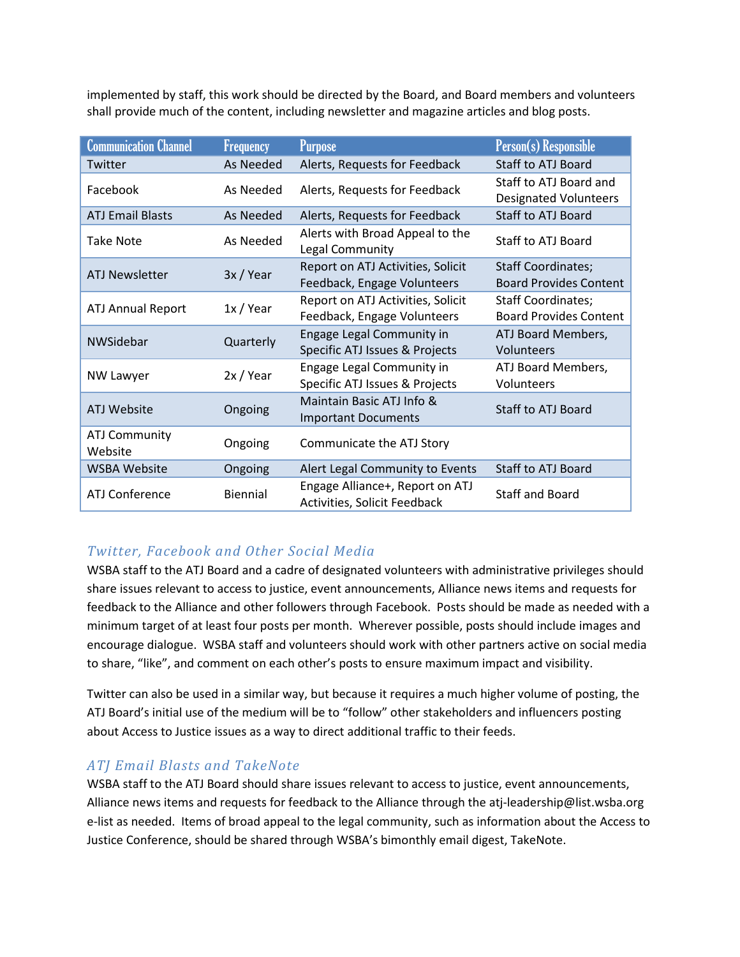implemented by staff, this work should be directed by the Board, and Board members and volunteers shall provide much of the content, including newsletter and magazine articles and blog posts.

| <b>Communication Channel</b>    | <b>Frequency</b> | <b>Purpose</b>                                                   | <b>Person(s)</b> Responsible                               |
|---------------------------------|------------------|------------------------------------------------------------------|------------------------------------------------------------|
| Twitter                         | As Needed        | Alerts, Requests for Feedback                                    | Staff to ATJ Board                                         |
| Facebook                        | As Needed        | Alerts, Requests for Feedback                                    | Staff to ATJ Board and<br><b>Designated Volunteers</b>     |
| <b>ATJ Email Blasts</b>         | As Needed        | Alerts, Requests for Feedback                                    | <b>Staff to ATJ Board</b>                                  |
| <b>Take Note</b>                | As Needed        | Alerts with Broad Appeal to the<br>Legal Community               | Staff to ATJ Board                                         |
| <b>ATJ Newsletter</b>           | 3x / Year        | Report on ATJ Activities, Solicit<br>Feedback, Engage Volunteers | <b>Staff Coordinates;</b><br><b>Board Provides Content</b> |
| <b>ATJ Annual Report</b>        | 1x / Year        | Report on ATJ Activities, Solicit<br>Feedback, Engage Volunteers | <b>Staff Coordinates;</b><br><b>Board Provides Content</b> |
| NWSidebar                       | Quarterly        | Engage Legal Community in<br>Specific ATJ Issues & Projects      | ATJ Board Members,<br>Volunteers                           |
| NW Lawyer                       | 2x / Year        | Engage Legal Community in<br>Specific ATJ Issues & Projects      | ATJ Board Members,<br>Volunteers                           |
| <b>ATJ Website</b>              | Ongoing          | Maintain Basic ATJ Info &<br><b>Important Documents</b>          | Staff to ATJ Board                                         |
| <b>ATJ Community</b><br>Website | Ongoing          | Communicate the ATJ Story                                        |                                                            |
| <b>WSBA Website</b>             | Ongoing          | Alert Legal Community to Events                                  | Staff to ATJ Board                                         |
| <b>ATJ Conference</b>           | Biennial         | Engage Alliance+, Report on ATJ<br>Activities, Solicit Feedback  | <b>Staff and Board</b>                                     |

#### *Twitter, Facebook and Other Social Media*

WSBA staff to the ATJ Board and a cadre of designated volunteers with administrative privileges should share issues relevant to access to justice, event announcements, Alliance news items and requests for feedback to the Alliance and other followers through Facebook. Posts should be made as needed with a minimum target of at least four posts per month. Wherever possible, posts should include images and encourage dialogue. WSBA staff and volunteers should work with other partners active on social media to share, "like", and comment on each other's posts to ensure maximum impact and visibility.

Twitter can also be used in a similar way, but because it requires a much higher volume of posting, the ATJ Board's initial use of the medium will be to "follow" other stakeholders and influencers posting about Access to Justice issues as a way to direct additional traffic to their feeds.

#### *ATJ Email Blasts and TakeNote*

WSBA staff to the ATJ Board should share issues relevant to access to justice, event announcements, Alliance news items and requests for feedback to the Alliance through th[e atj-leadership@list.wsba.org](mailto:atj-leadership@list.wsba.org) e-list as needed. Items of broad appeal to the legal community, such as information about the Access to Justice Conference, should be shared through WSBA's bimonthly email digest, TakeNote.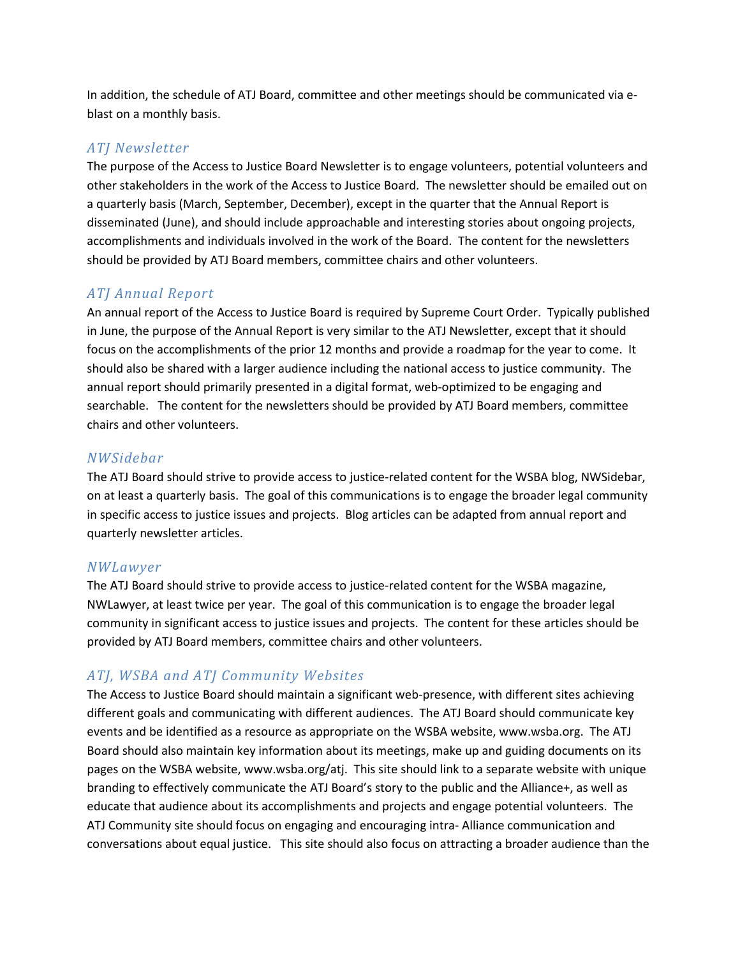In addition, the schedule of ATJ Board, committee and other meetings should be communicated via eblast on a monthly basis.

#### *ATJ Newsletter*

The purpose of the Access to Justice Board Newsletter is to engage volunteers, potential volunteers and other stakeholders in the work of the Access to Justice Board. The newsletter should be emailed out on a quarterly basis (March, September, December), except in the quarter that the Annual Report is disseminated (June), and should include approachable and interesting stories about ongoing projects, accomplishments and individuals involved in the work of the Board. The content for the newsletters should be provided by ATJ Board members, committee chairs and other volunteers.

#### *ATJ Annual Report*

An annual report of the Access to Justice Board is required by Supreme Court Order. Typically published in June, the purpose of the Annual Report is very similar to the ATJ Newsletter, except that it should focus on the accomplishments of the prior 12 months and provide a roadmap for the year to come. It should also be shared with a larger audience including the national access to justice community. The annual report should primarily presented in a digital format, web-optimized to be engaging and searchable. The content for the newsletters should be provided by ATJ Board members, committee chairs and other volunteers.

#### *NWSidebar*

The ATJ Board should strive to provide access to justice-related content for the WSBA blog, NWSidebar, on at least a quarterly basis. The goal of this communications is to engage the broader legal community in specific access to justice issues and projects. Blog articles can be adapted from annual report and quarterly newsletter articles.

#### *NWLawyer*

The ATJ Board should strive to provide access to justice-related content for the WSBA magazine, NWLawyer, at least twice per year. The goal of this communication is to engage the broader legal community in significant access to justice issues and projects. The content for these articles should be provided by ATJ Board members, committee chairs and other volunteers.

#### *ATJ, WSBA and ATJ Community Websites*

The Access to Justice Board should maintain a significant web-presence, with different sites achieving different goals and communicating with different audiences. The ATJ Board should communicate key events and be identified as a resource as appropriate on the WSBA website, [www.wsba.org.](http://www.wsba.org/) The ATJ Board should also maintain key information about its meetings, make up and guiding documents on its pages on the WSBA website, [www.wsba.org/atj.](http://www.wsba.org/atj) This site should link to a separate website with unique branding to effectively communicate the ATJ Board's story to the public and the Alliance+, as well as educate that audience about its accomplishments and projects and engage potential volunteers. The ATJ Community site should focus on engaging and encouraging intra- Alliance communication and conversations about equal justice. This site should also focus on attracting a broader audience than the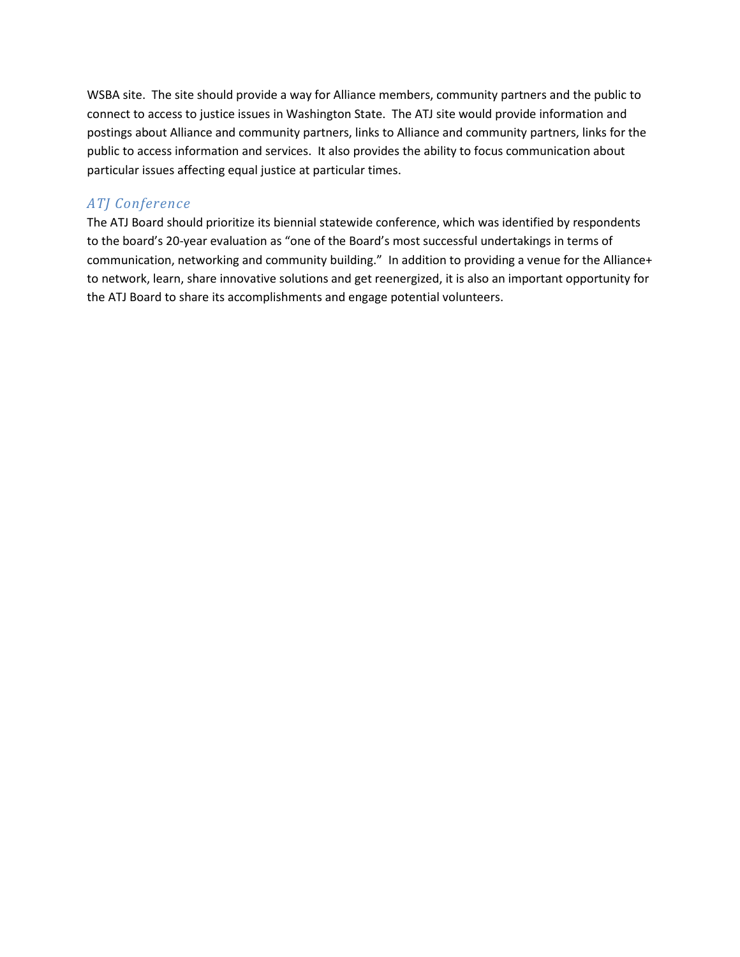WSBA site. The site should provide a way for Alliance members, community partners and the public to connect to access to justice issues in Washington State. The ATJ site would provide information and postings about Alliance and community partners, links to Alliance and community partners, links for the public to access information and services. It also provides the ability to focus communication about particular issues affecting equal justice at particular times.

#### *ATJ Conference*

The ATJ Board should prioritize its biennial statewide conference, which was identified by respondents to the board's 20-year evaluation as "one of the Board's most successful undertakings in terms of communication, networking and community building." In addition to providing a venue for the Alliance+ to network, learn, share innovative solutions and get reenergized, it is also an important opportunity for the ATJ Board to share its accomplishments and engage potential volunteers.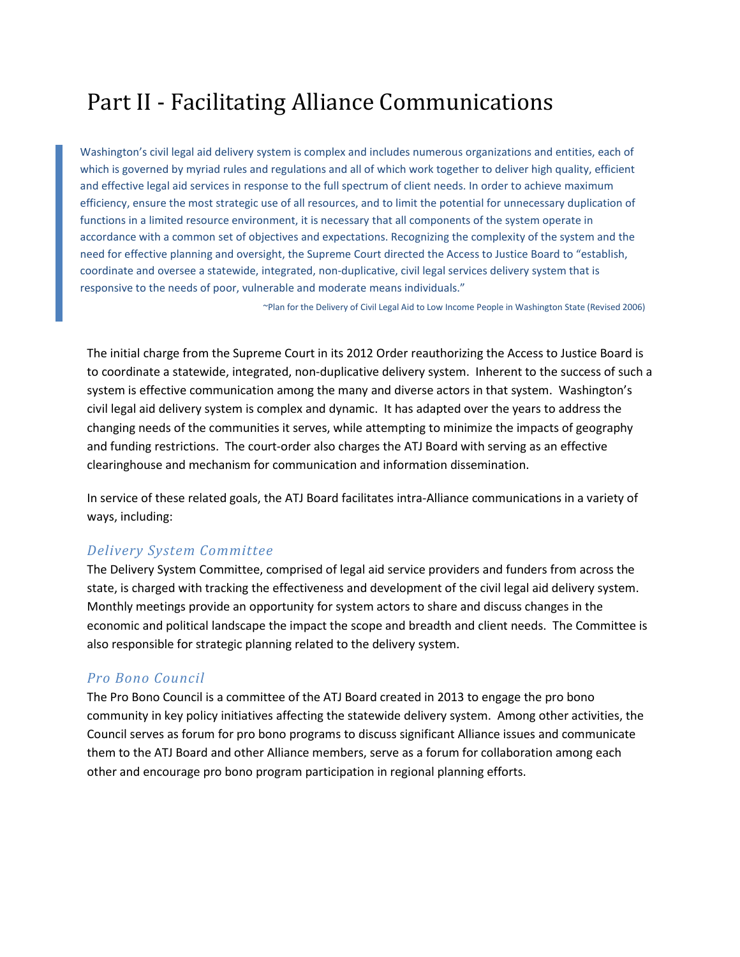## Part II - Facilitating Alliance Communications

Washington's civil legal aid delivery system is complex and includes numerous organizations and entities, each of which is governed by myriad rules and regulations and all of which work together to deliver high quality, efficient and effective legal aid services in response to the full spectrum of client needs. In order to achieve maximum efficiency, ensure the most strategic use of all resources, and to limit the potential for unnecessary duplication of functions in a limited resource environment, it is necessary that all components of the system operate in accordance with a common set of objectives and expectations. Recognizing the complexity of the system and the need for effective planning and oversight, the Supreme Court directed the Access to Justice Board to "establish, coordinate and oversee a statewide, integrated, non-duplicative, civil legal services delivery system that is responsive to the needs of poor, vulnerable and moderate means individuals."

~Plan for the Delivery of Civil Legal Aid to Low Income People in Washington State (Revised 2006)

The initial charge from the Supreme Court in its 2012 Order reauthorizing the Access to Justice Board is to coordinate a statewide, integrated, non-duplicative delivery system. Inherent to the success of such a system is effective communication among the many and diverse actors in that system. Washington's civil legal aid delivery system is complex and dynamic. It has adapted over the years to address the changing needs of the communities it serves, while attempting to minimize the impacts of geography and funding restrictions. The court-order also charges the ATJ Board with serving as an effective clearinghouse and mechanism for communication and information dissemination.

In service of these related goals, the ATJ Board facilitates intra-Alliance communications in a variety of ways, including:

#### *Delivery System Committee*

The Delivery System Committee, comprised of legal aid service providers and funders from across the state, is charged with tracking the effectiveness and development of the civil legal aid delivery system. Monthly meetings provide an opportunity for system actors to share and discuss changes in the economic and political landscape the impact the scope and breadth and client needs. The Committee is also responsible for strategic planning related to the delivery system.

#### *Pro Bono Council*

The Pro Bono Council is a committee of the ATJ Board created in 2013 to engage the pro bono community in key policy initiatives affecting the statewide delivery system. Among other activities, the Council serves as forum for pro bono programs to discuss significant Alliance issues and communicate them to the ATJ Board and other Alliance members, serve as a forum for collaboration among each other and encourage pro bono program participation in regional planning efforts.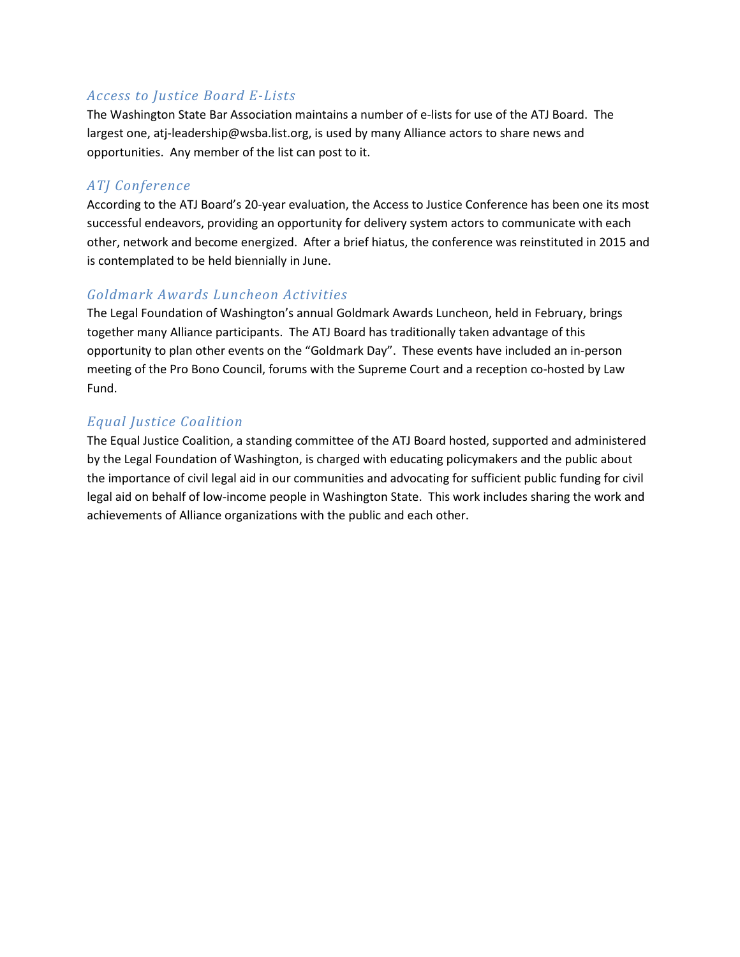#### *Access to Justice Board E-Lists*

The Washington State Bar Association maintains a number of e-lists for use of the ATJ Board. The largest one, [atj-leadership@wsba.list.org,](mailto:atj-leadership@wsba.list.org) is used by many Alliance actors to share news and opportunities. Any member of the list can post to it.

#### *ATJ Conference*

According to the ATJ Board's 20-year evaluation, the Access to Justice Conference has been one its most successful endeavors, providing an opportunity for delivery system actors to communicate with each other, network and become energized. After a brief hiatus, the conference was reinstituted in 2015 and is contemplated to be held biennially in June.

#### *Goldmark Awards Luncheon Activities*

The Legal Foundation of Washington's annual Goldmark Awards Luncheon, held in February, brings together many Alliance participants. The ATJ Board has traditionally taken advantage of this opportunity to plan other events on the "Goldmark Day". These events have included an in-person meeting of the Pro Bono Council, forums with the Supreme Court and a reception co-hosted by Law Fund.

#### *Equal Justice Coalition*

The Equal Justice Coalition, a standing committee of the ATJ Board hosted, supported and administered by the Legal Foundation of Washington, is charged with educating policymakers and the public about the importance of civil legal aid in our communities and advocating for sufficient public funding for civil legal aid on behalf of low-income people in Washington State. This work includes sharing the work and achievements of Alliance organizations with the public and each other.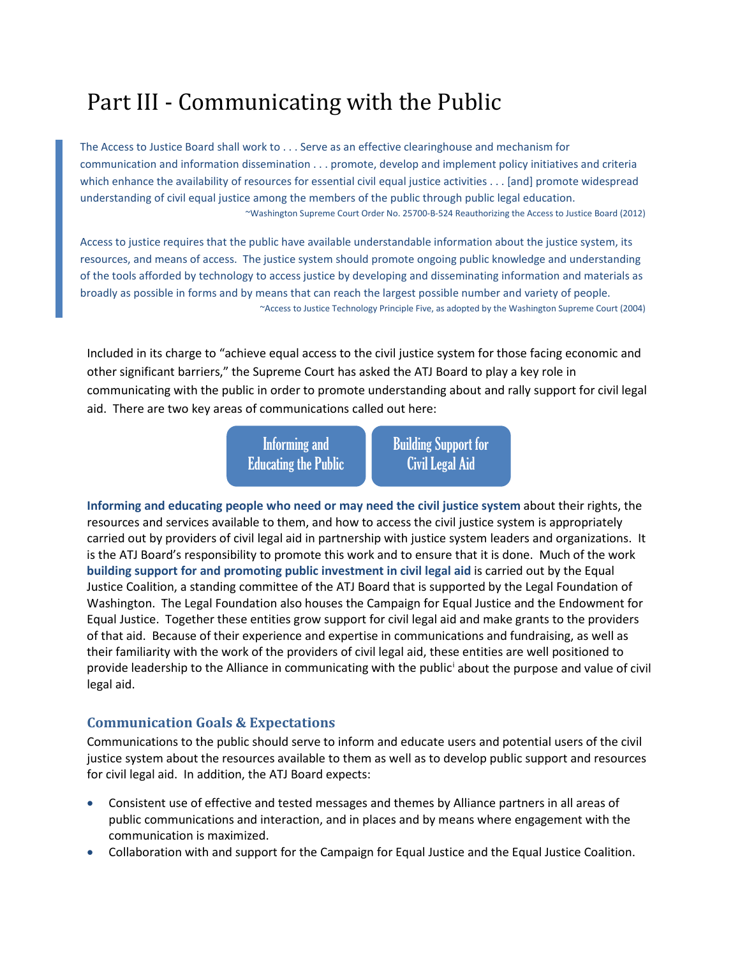# Part III - Communicating with the Public

The Access to Justice Board shall work to . . . Serve as an effective clearinghouse and mechanism for communication and information dissemination . . . promote, develop and implement policy initiatives and criteria which enhance the availability of resources for essential civil equal justice activities . . . [and] promote widespread understanding of civil equal justice among the members of the public through public legal education. ~Washington Supreme Court Order No. 25700-B-524 Reauthorizing the Access to Justice Board (2012)

Access to justice requires that the public have available understandable information about the justice system, its resources, and means of access. The justice system should promote ongoing public knowledge and understanding of the tools afforded by technology to access justice by developing and disseminating information and materials as broadly as possible in forms and by means that can reach the largest possible number and variety of people. ~Access to Justice Technology Principle Five, as adopted by the Washington Supreme Court (2004)

Included in its charge to "achieve equal access to the civil justice system for those facing economic and other significant barriers," the Supreme Court has asked the ATJ Board to play a key role in communicating with the public in order to promote understanding about and rally support for civil legal aid. There are two key areas of communications called out here:

> Informing and Educating the Public

**Building Support for** Civil Legal Aid

**Informing and educating people who need or may need the civil justice system** about their rights, the resources and services available to them, and how to access the civil justice system is appropriately carried out by providers of civil legal aid in partnership with justice system leaders and organizations. It is the ATJ Board's responsibility to promote this work and to ensure that it is done. Much of the work **building support for and promoting public investment in civil legal aid** is carried out by the Equal Justice Coalition, a standing committee of the ATJ Board that is supported by the Legal Foundation of Washington. The Legal Foundation also houses the Campaign for Equal Justice and the Endowment for Equal Justice. Together these entities grow support for civil legal aid and make grants to the providers of that aid. Because of their experience and expertise in communications and fundraising, as well as their familiarity with the work of the providers of civil legal aid, these entities are well positioned to provide leadership to the Alliance in communicating with the public[i](#page-8-0) about the purpose and value of civil legal aid.

#### **Communication Goals & Expectations**

Communications to the public should serve to inform and educate users and potential users of the civil justice system about the resources available to them as well as to develop public support and resources for civil legal aid. In addition, the ATJ Board expects:

- Consistent use of effective and tested messages and themes by Alliance partners in all areas of public communications and interaction, and in places and by means where engagement with the communication is maximized.
- Collaboration with and support for the Campaign for Equal Justice and the Equal Justice Coalition.